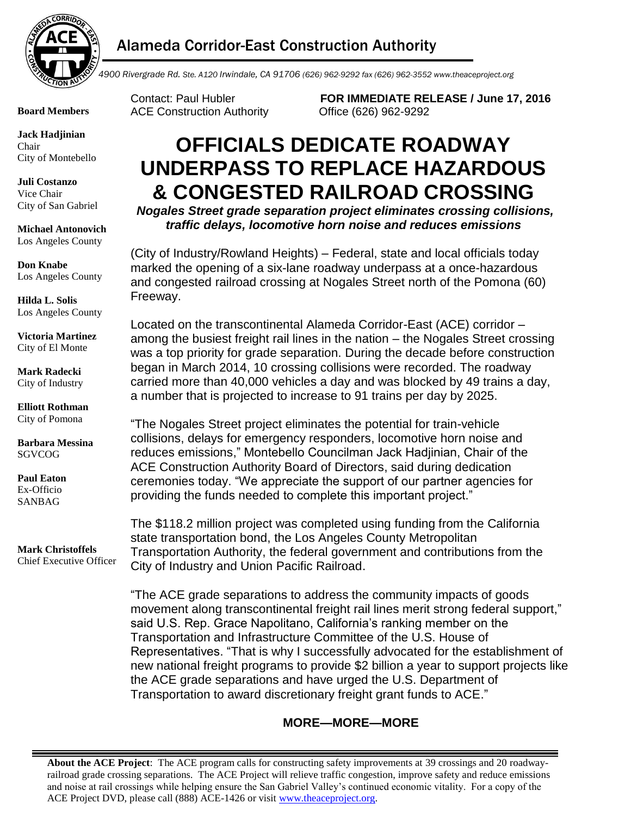

## Alameda Corridor-East Construction Authority

**Board Members**

**Jack Hadjinian** Chair City of Montebello

**Juli Costanzo** Vice Chair City of San Gabriel

**Michael Antonovich** Los Angeles County

**Don Knabe** Los Angeles County

**Hilda L. Solis** Los Angeles County

**Victoria Martinez** City of El Monte

**Mark Radecki** City of Industry

**Elliott Rothman** City of Pomona

**Barbara Messina** SGVCOG

**Paul Eaton** Ex-Officio SANBAG

**Mark Christoffels** Chief Executive Officer Contact: Paul Hubler **FOR IMMEDIATE RELEASE / June 17, 2016** ACE Construction Authority Office (626) 962-9292

## **OFFICIALS DEDICATE ROADWAY UNDERPASS TO REPLACE HAZARDOUS & CONGESTED RAILROAD CROSSING**

*Nogales Street grade separation project eliminates crossing collisions, traffic delays, locomotive horn noise and reduces emissions* 

(City of Industry/Rowland Heights) – Federal, state and local officials today marked the opening of a six-lane roadway underpass at a once-hazardous and congested railroad crossing at Nogales Street north of the Pomona (60) Freeway.

Located on the transcontinental Alameda Corridor-East (ACE) corridor – among the busiest freight rail lines in the nation – the Nogales Street crossing was a top priority for grade separation. During the decade before construction began in March 2014, 10 crossing collisions were recorded. The roadway carried more than 40,000 vehicles a day and was blocked by 49 trains a day, a number that is projected to increase to 91 trains per day by 2025.

"The Nogales Street project eliminates the potential for train-vehicle collisions, delays for emergency responders, locomotive horn noise and reduces emissions," Montebello Councilman Jack Hadjinian, Chair of the ACE Construction Authority Board of Directors, said during dedication ceremonies today. "We appreciate the support of our partner agencies for providing the funds needed to complete this important project."

The \$118.2 million project was completed using funding from the California state transportation bond, the Los Angeles County Metropolitan Transportation Authority, the federal government and contributions from the City of Industry and Union Pacific Railroad.

"The ACE grade separations to address the community impacts of goods movement along transcontinental freight rail lines merit strong federal support," said U.S. Rep. Grace Napolitano, California's ranking member on the Transportation and Infrastructure Committee of the U.S. House of Representatives. "That is why I successfully advocated for the establishment of new national freight programs to provide \$2 billion a year to support projects like the ACE grade separations and have urged the U.S. Department of Transportation to award discretionary freight grant funds to ACE."

## **MORE—MORE—MORE**

**About the ACE Project**: The ACE program calls for constructing safety improvements at 39 crossings and 20 roadwayrailroad grade crossing separations. The ACE Project will relieve traffic congestion, improve safety and reduce emissions and noise at rail crossings while helping ensure the San Gabriel Valley's continued economic vitality. For a copy of the ACE Project DVD, please call (888) ACE-1426 or visit www.theaceproject.org.